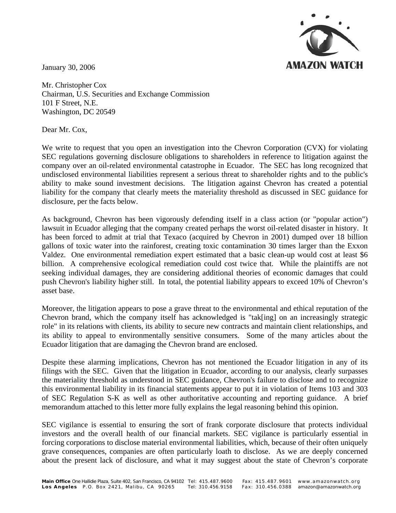

January 30, 2006

Mr. Christopher Cox Chairman, U.S. Securities and Exchange Commission 101 F Street, N.E. Washington, DC 20549

Dear Mr. Cox,

We write to request that you open an investigation into the Chevron Corporation (CVX) for violating SEC regulations governing disclosure obligations to shareholders in reference to litigation against the company over an oil-related environmental catastrophe in Ecuador. The SEC has long recognized that undisclosed environmental liabilities represent a serious threat to shareholder rights and to the public's ability to make sound investment decisions. The litigation against Chevron has created a potential liability for the company that clearly meets the materiality threshold as discussed in SEC guidance for disclosure, per the facts below.

As background, Chevron has been vigorously defending itself in a class action (or "popular action") lawsuit in Ecuador alleging that the company created perhaps the worst oil-related disaster in history. It has been forced to admit at trial that Texaco (acquired by Chevron in 2001) dumped over 18 billion gallons of toxic water into the rainforest, creating toxic contamination 30 times larger than the Exxon Valdez. One environmental remediation expert estimated that a basic clean-up would cost at least \$6 billion. A comprehensive ecological remediation could cost twice that. While the plaintiffs are not seeking individual damages, they are considering additional theories of economic damages that could push Chevron's liability higher still. In total, the potential liability appears to exceed 10% of Chevron's asset base.

Moreover, the litigation appears to pose a grave threat to the environmental and ethical reputation of the Chevron brand, which the company itself has acknowledged is "tak[ing] on an increasingly strategic role" in its relations with clients, its ability to secure new contracts and maintain client relationships, and its ability to appeal to environmentally sensitive consumers. Some of the many articles about the Ecuador litigation that are damaging the Chevron brand are enclosed.

Despite these alarming implications, Chevron has not mentioned the Ecuador litigation in any of its filings with the SEC. Given that the litigation in Ecuador, according to our analysis, clearly surpasses the materiality threshold as understood in SEC guidance, Chevron's failure to disclose and to recognize this environmental liability in its financial statements appear to put it in violation of Items 103 and 303 of SEC Regulation S-K as well as other authoritative accounting and reporting guidance. A brief memorandum attached to this letter more fully explains the legal reasoning behind this opinion.

SEC vigilance is essential to ensuring the sort of frank corporate disclosure that protects individual investors and the overall health of our financial markets. SEC vigilance is particularly essential in forcing corporations to disclose material environmental liabilities, which, because of their often uniquely grave consequences, companies are often particularly loath to disclose. As we are deeply concerned about the present lack of disclosure, and what it may suggest about the state of Chevron's corporate